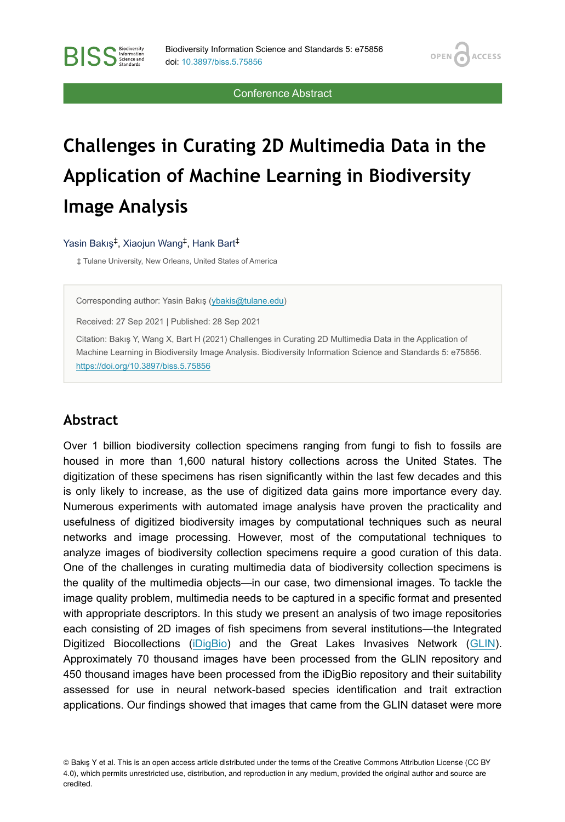**OPEN** 

**ACCESS** 

Conference Abstract

# **Challenges in Curating 2D Multimedia Data in the Application of Machine Learning in Biodiversity Image Analysis**

Yasin Bakış<sup>‡</sup>, Xiaojun Wang<sup>‡</sup>, Hank Bart<sup>‡</sup>

**BISS** Steince and

‡ Tulane University, New Orleans, United States of America

Corresponding author: Yasin Bakış [\(ybakis@tulane.edu\)](mailto:ybakis@tulane.edu)

Received: 27 Sep 2021 | Published: 28 Sep 2021

Citation: Bakış Y, Wang X, Bart H (2021) Challenges in Curating 2D Multimedia Data in the Application of Machine Learning in Biodiversity Image Analysis. Biodiversity Information Science and Standards 5: e75856. <https://doi.org/10.3897/biss.5.75856>

#### **Abstract**

Over 1 billion biodiversity collection specimens ranging from fungi to fish to fossils are housed in more than 1,600 natural history collections across the United States. The digitization of these specimens has risen significantly within the last few decades and this is only likely to increase, as the use of digitized data gains more importance every day. Numerous experiments with automated image analysis have proven the practicality and usefulness of digitized biodiversity images by computational techniques such as neural networks and image processing. However, most of the computational techniques to analyze images of biodiversity collection specimens require a good curation of this data. One of the challenges in curating multimedia data of biodiversity collection specimens is the quality of the multimedia objects—in our case, two dimensional images. To tackle the image quality problem, multimedia needs to be captured in a specific format and presented with appropriate descriptors. In this study we present an analysis of two image repositories each consisting of 2D images of fish specimens from several institutions—the Integrated Digitized Biocollections [\(iDigBio\)](https://www.idigbio.org/) and the Great Lakes Invasives Network ([GLIN\)](https://greatlakesinvasives.org/). Approximately 70 thousand images have been processed from the GLIN repository and 450 thousand images have been processed from the iDigBio repository and their suitability assessed for use in neural network-based species identification and trait extraction applications. Our findings showed that images that came from the GLIN dataset were more

© Bakış Y et al. This is an open access article distributed under the terms of the Creative Commons Attribution License (CC BY 4.0), which permits unrestricted use, distribution, and reproduction in any medium, provided the original author and source are credited.